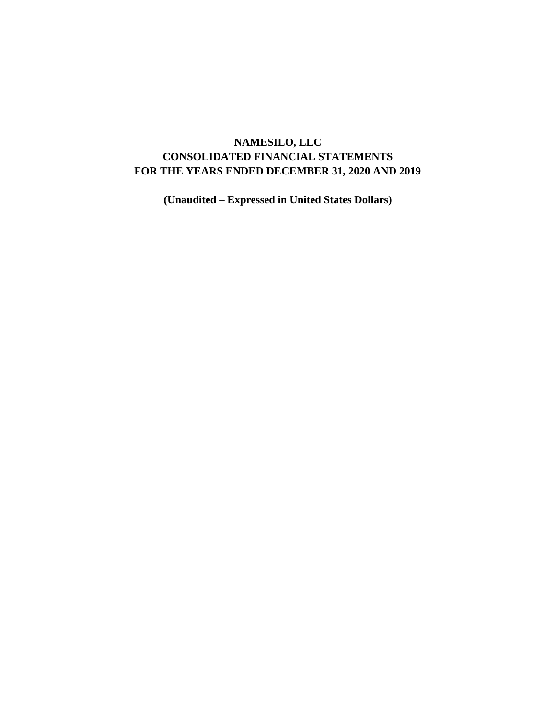# **NAMESILO, LLC CONSOLIDATED FINANCIAL STATEMENTS FOR THE YEARS ENDED DECEMBER 31, 2020 AND 2019**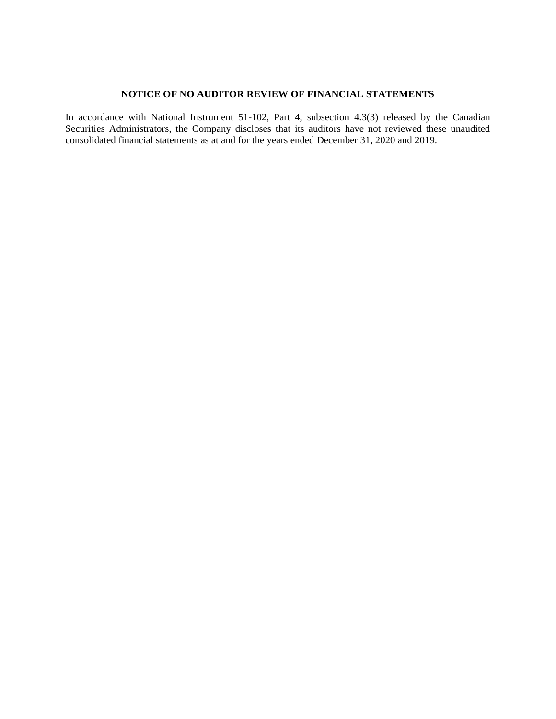## **NOTICE OF NO AUDITOR REVIEW OF FINANCIAL STATEMENTS**

In accordance with National Instrument 51-102, Part 4, subsection 4.3(3) released by the Canadian Securities Administrators, the Company discloses that its auditors have not reviewed these unaudited consolidated financial statements as at and for the years ended December 31, 2020 and 2019.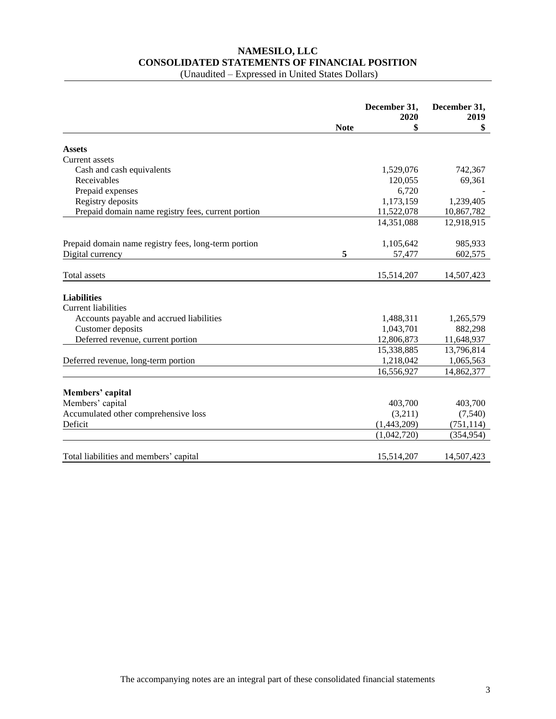# **NAMESILO, LLC CONSOLIDATED STATEMENTS OF FINANCIAL POSITION**

|                                                      |             | December 31,<br>2020 | December 31,<br>2019 |
|------------------------------------------------------|-------------|----------------------|----------------------|
|                                                      | <b>Note</b> | \$                   | \$                   |
| <b>Assets</b>                                        |             |                      |                      |
| Current assets                                       |             |                      |                      |
| Cash and cash equivalents                            |             | 1,529,076            | 742,367              |
| Receivables                                          |             | 120,055              | 69,361               |
| Prepaid expenses                                     |             | 6,720                |                      |
| Registry deposits                                    |             | 1,173,159            | 1,239,405            |
| Prepaid domain name registry fees, current portion   |             | 11,522,078           | 10,867,782           |
|                                                      |             | 14,351,088           | 12,918,915           |
| Prepaid domain name registry fees, long-term portion |             | 1,105,642            | 985,933              |
| Digital currency                                     | 5           | 57,477               | 602,575              |
| Total assets                                         |             | 15,514,207           | 14,507,423           |
|                                                      |             |                      |                      |
| <b>Liabilities</b><br><b>Current liabilities</b>     |             |                      |                      |
| Accounts payable and accrued liabilities             |             | 1,488,311            |                      |
| Customer deposits                                    |             | 1,043,701            | 1,265,579<br>882,298 |
| Deferred revenue, current portion                    |             | 12,806,873           | 11,648,937           |
|                                                      |             | 15,338,885           | 13,796,814           |
| Deferred revenue, long-term portion                  |             | 1,218,042            | 1,065,563            |
|                                                      |             | 16,556,927           | 14,862,377           |
|                                                      |             |                      |                      |
| Members' capital                                     |             |                      |                      |
| Members' capital                                     |             | 403,700              | 403,700              |
| Accumulated other comprehensive loss                 |             | (3,211)              | (7,540)              |
| Deficit                                              |             | (1,443,209)          | (751, 114)           |
|                                                      |             | (1,042,720)          | (354, 954)           |
| Total liabilities and members' capital               |             | 15,514,207           | 14,507,423           |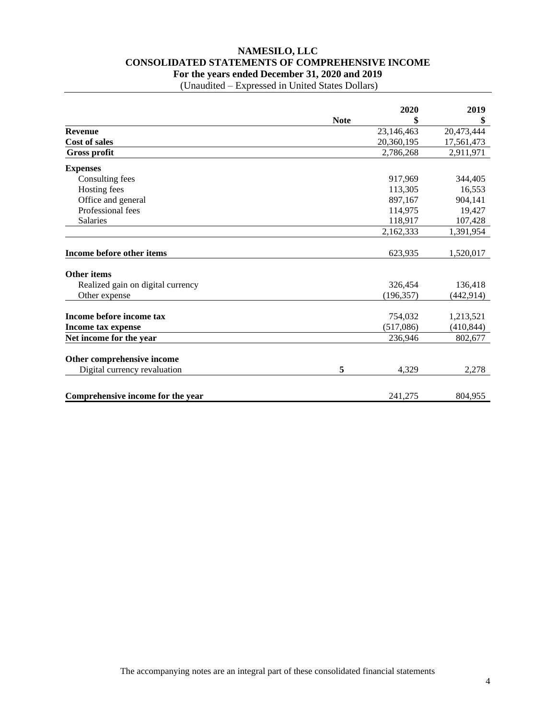## **NAMESILO, LLC CONSOLIDATED STATEMENTS OF COMPREHENSIVE INCOME For the years ended December 31, 2020 and 2019**

|                                   |             | 2020       | 2019       |
|-----------------------------------|-------------|------------|------------|
|                                   | <b>Note</b> | \$         | \$         |
| <b>Revenue</b>                    |             | 23,146,463 | 20,473,444 |
| <b>Cost of sales</b>              |             | 20,360,195 | 17,561,473 |
| <b>Gross profit</b>               |             | 2,786,268  | 2,911,971  |
| <b>Expenses</b>                   |             |            |            |
| Consulting fees                   |             | 917,969    | 344,405    |
| Hosting fees                      |             | 113,305    | 16,553     |
| Office and general                |             | 897,167    | 904,141    |
| Professional fees                 |             | 114,975    | 19,427     |
| Salaries                          |             | 118,917    | 107,428    |
|                                   |             | 2,162,333  | 1,391,954  |
| Income before other items         |             | 623,935    | 1,520,017  |
| <b>Other items</b>                |             |            |            |
| Realized gain on digital currency |             | 326,454    | 136,418    |
| Other expense                     |             | (196, 357) | (442, 914) |
| Income before income tax          |             | 754,032    | 1,213,521  |
| Income tax expense                |             | (517,086)  | (410, 844) |
| Net income for the year           |             | 236,946    | 802,677    |
| Other comprehensive income        |             |            |            |
| Digital currency revaluation      | 5           | 4,329      | 2,278      |
|                                   |             |            |            |
| Comprehensive income for the year |             | 241,275    | 804,955    |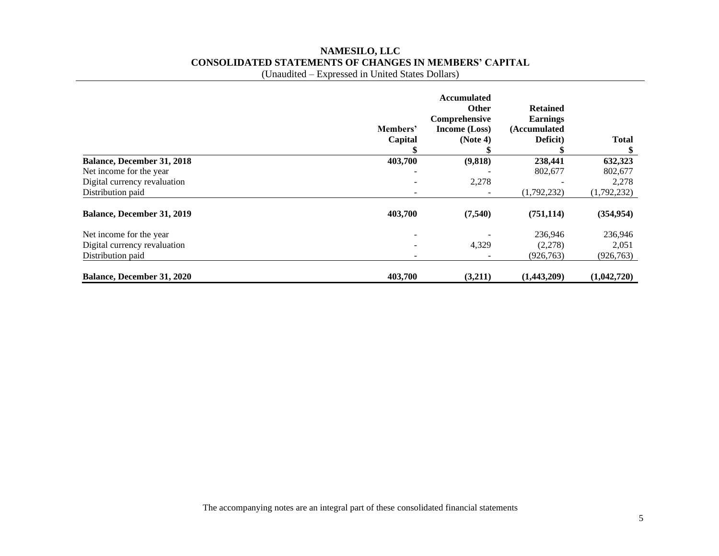# **NAMESILO, LLC CONSOLIDATED STATEMENTS OF CHANGES IN MEMBERS' CAPITAL**

|                                   | Members'<br>Capital | <b>Accumulated</b><br>Other<br>Comprehensive<br>Income (Loss)<br>(Note 4) | <b>Retained</b><br><b>Earnings</b><br>(Accumulated<br>Deficit) | <b>Total</b> |
|-----------------------------------|---------------------|---------------------------------------------------------------------------|----------------------------------------------------------------|--------------|
| <b>Balance, December 31, 2018</b> | 403,700             | (9,818)                                                                   | 238,441                                                        | 632,323      |
| Net income for the year.          |                     |                                                                           | 802,677                                                        | 802,677      |
| Digital currency revaluation      |                     | 2,278                                                                     |                                                                | 2,278        |
| Distribution paid                 |                     |                                                                           | (1,792,232)                                                    | (1,792,232)  |
| <b>Balance, December 31, 2019</b> | 403,700             | (7,540)                                                                   | (751, 114)                                                     | (354, 954)   |
| Net income for the year           |                     |                                                                           | 236,946                                                        | 236,946      |
| Digital currency revaluation      |                     | 4,329                                                                     | (2,278)                                                        | 2,051        |
| Distribution paid                 |                     |                                                                           | (926, 763)                                                     | (926, 763)   |
| <b>Balance, December 31, 2020</b> | 403,700             | (3,211)                                                                   | (1,443,209)                                                    | (1,042,720)  |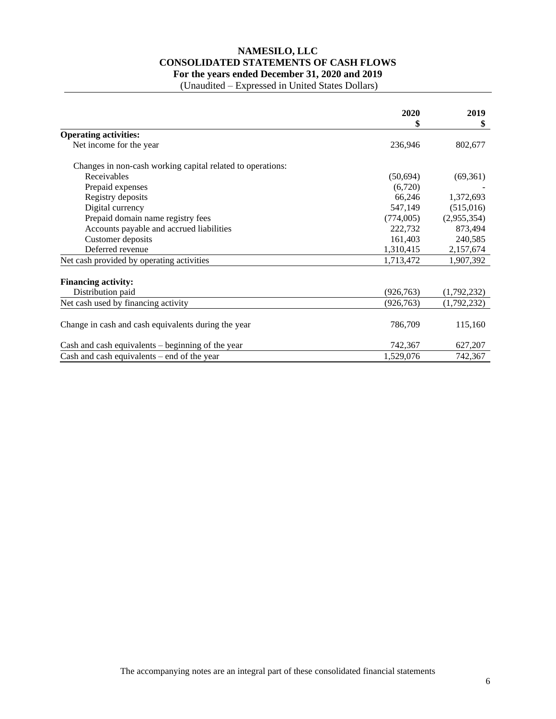## **NAMESILO, LLC CONSOLIDATED STATEMENTS OF CASH FLOWS For the years ended December 31, 2020 and 2019**

|                                                            | 2020       | 2019<br>\$  |
|------------------------------------------------------------|------------|-------------|
| <b>Operating activities:</b>                               | \$         |             |
| Net income for the year                                    | 236,946    | 802,677     |
| Changes in non-cash working capital related to operations: |            |             |
| Receivables                                                | (50,694)   | (69,361)    |
| Prepaid expenses                                           | (6,720)    |             |
| Registry deposits                                          | 66,246     | 1,372,693   |
| Digital currency                                           | 547,149    | (515,016)   |
| Prepaid domain name registry fees                          | (774,005)  | (2,955,354) |
| Accounts payable and accrued liabilities                   | 222,732    | 873,494     |
| Customer deposits                                          | 161,403    | 240,585     |
| Deferred revenue                                           | 1,310,415  | 2,157,674   |
| Net cash provided by operating activities                  | 1,713,472  | 1,907,392   |
| <b>Financing activity:</b>                                 |            |             |
| Distribution paid                                          | (926, 763) | (1,792,232) |
| Net cash used by financing activity                        | (926, 763) | (1,792,232) |
| Change in cash and cash equivalents during the year        | 786,709    | 115,160     |
| Cash and cash equivalents – beginning of the year          | 742,367    | 627,207     |
| Cash and cash equivalents $-$ end of the year              | 1,529,076  | 742,367     |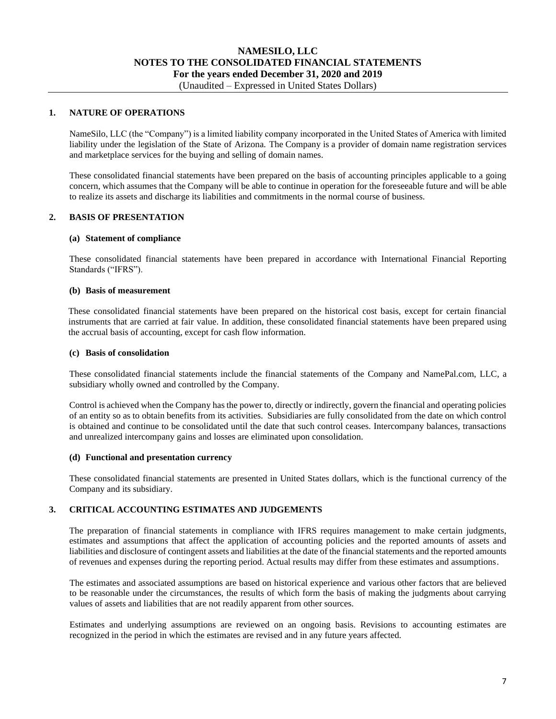# **NAMESILO, LLC NOTES TO THE CONSOLIDATED FINANCIAL STATEMENTS For the years ended December 31, 2020 and 2019**

# (Unaudited – Expressed in United States Dollars)

## **1. NATURE OF OPERATIONS**

NameSilo, LLC (the "Company") is a limited liability company incorporated in the United States of America with limited liability under the legislation of the State of Arizona. The Company is a provider of domain name registration services and marketplace services for the buying and selling of domain names.

These consolidated financial statements have been prepared on the basis of accounting principles applicable to a going concern, which assumes that the Company will be able to continue in operation for the foreseeable future and will be able to realize its assets and discharge its liabilities and commitments in the normal course of business.

## **2. BASIS OF PRESENTATION**

### **(a) Statement of compliance**

These consolidated financial statements have been prepared in accordance with International Financial Reporting Standards ("IFRS").

## **(b) Basis of measurement**

These consolidated financial statements have been prepared on the historical cost basis, except for certain financial instruments that are carried at fair value. In addition, these consolidated financial statements have been prepared using the accrual basis of accounting, except for cash flow information.

### **(c) Basis of consolidation**

These consolidated financial statements include the financial statements of the Company and NamePal.com, LLC, a subsidiary wholly owned and controlled by the Company.

Control is achieved when the Company has the power to, directly or indirectly, govern the financial and operating policies of an entity so as to obtain benefits from its activities. Subsidiaries are fully consolidated from the date on which control is obtained and continue to be consolidated until the date that such control ceases. Intercompany balances, transactions and unrealized intercompany gains and losses are eliminated upon consolidation.

### **(d) Functional and presentation currency**

These consolidated financial statements are presented in United States dollars, which is the functional currency of the Company and its subsidiary.

## **3. CRITICAL ACCOUNTING ESTIMATES AND JUDGEMENTS**

The preparation of financial statements in compliance with IFRS requires management to make certain judgments, estimates and assumptions that affect the application of accounting policies and the reported amounts of assets and liabilities and disclosure of contingent assets and liabilities at the date of the financial statements and the reported amounts of revenues and expenses during the reporting period. Actual results may differ from these estimates and assumptions.

The estimates and associated assumptions are based on historical experience and various other factors that are believed to be reasonable under the circumstances, the results of which form the basis of making the judgments about carrying values of assets and liabilities that are not readily apparent from other sources.

Estimates and underlying assumptions are reviewed on an ongoing basis. Revisions to accounting estimates are recognized in the period in which the estimates are revised and in any future years affected.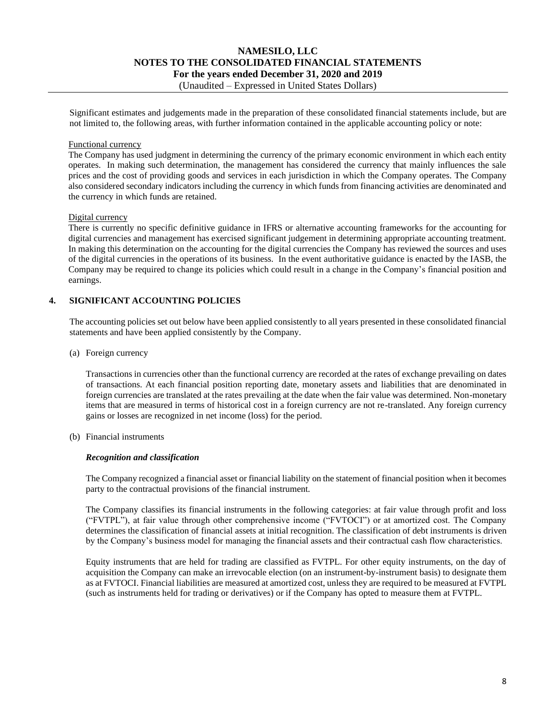## **NAMESILO, LLC NOTES TO THE CONSOLIDATED FINANCIAL STATEMENTS For the years ended December 31, 2020 and 2019** (Unaudited – Expressed in United States Dollars)

Significant estimates and judgements made in the preparation of these consolidated financial statements include, but are not limited to, the following areas, with further information contained in the applicable accounting policy or note:

## Functional currency

The Company has used judgment in determining the currency of the primary economic environment in which each entity operates. In making such determination, the management has considered the currency that mainly influences the sale prices and the cost of providing goods and services in each jurisdiction in which the Company operates. The Company also considered secondary indicators including the currency in which funds from financing activities are denominated and the currency in which funds are retained.

## Digital currency

There is currently no specific definitive guidance in IFRS or alternative accounting frameworks for the accounting for digital currencies and management has exercised significant judgement in determining appropriate accounting treatment. In making this determination on the accounting for the digital currencies the Company has reviewed the sources and uses of the digital currencies in the operations of its business. In the event authoritative guidance is enacted by the IASB, the Company may be required to change its policies which could result in a change in the Company's financial position and earnings.

## **4. SIGNIFICANT ACCOUNTING POLICIES**

The accounting policies set out below have been applied consistently to all years presented in these consolidated financial statements and have been applied consistently by the Company.

### (a) Foreign currency

Transactions in currencies other than the functional currency are recorded at the rates of exchange prevailing on dates of transactions. At each financial position reporting date, monetary assets and liabilities that are denominated in foreign currencies are translated at the rates prevailing at the date when the fair value was determined. Non-monetary items that are measured in terms of historical cost in a foreign currency are not re-translated. Any foreign currency gains or losses are recognized in net income (loss) for the period.

(b) Financial instruments

### *Recognition and classification*

The Company recognized a financial asset or financial liability on the statement of financial position when it becomes party to the contractual provisions of the financial instrument.

The Company classifies its financial instruments in the following categories: at fair value through profit and loss ("FVTPL"), at fair value through other comprehensive income ("FVTOCI") or at amortized cost. The Company determines the classification of financial assets at initial recognition. The classification of debt instruments is driven by the Company's business model for managing the financial assets and their contractual cash flow characteristics.

Equity instruments that are held for trading are classified as FVTPL. For other equity instruments, on the day of acquisition the Company can make an irrevocable election (on an instrument-by-instrument basis) to designate them as at FVTOCI. Financial liabilities are measured at amortized cost, unless they are required to be measured at FVTPL (such as instruments held for trading or derivatives) or if the Company has opted to measure them at FVTPL.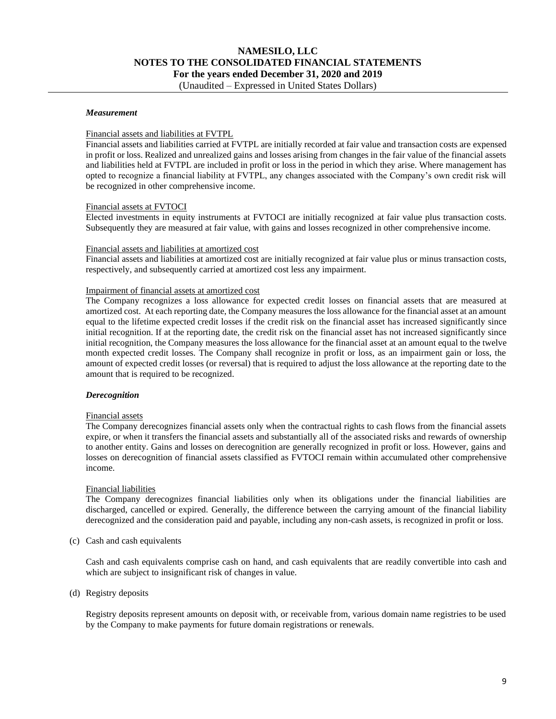# **NAMESILO, LLC NOTES TO THE CONSOLIDATED FINANCIAL STATEMENTS For the years ended December 31, 2020 and 2019**

## (Unaudited – Expressed in United States Dollars)

## *Measurement*

## Financial assets and liabilities at FVTPL

Financial assets and liabilities carried at FVTPL are initially recorded at fair value and transaction costs are expensed in profit or loss. Realized and unrealized gains and losses arising from changes in the fair value of the financial assets and liabilities held at FVTPL are included in profit or loss in the period in which they arise. Where management has opted to recognize a financial liability at FVTPL, any changes associated with the Company's own credit risk will be recognized in other comprehensive income.

## Financial assets at FVTOCI

Elected investments in equity instruments at FVTOCI are initially recognized at fair value plus transaction costs. Subsequently they are measured at fair value, with gains and losses recognized in other comprehensive income.

### Financial assets and liabilities at amortized cost

Financial assets and liabilities at amortized cost are initially recognized at fair value plus or minus transaction costs, respectively, and subsequently carried at amortized cost less any impairment.

### Impairment of financial assets at amortized cost

The Company recognizes a loss allowance for expected credit losses on financial assets that are measured at amortized cost. At each reporting date, the Company measures the loss allowance for the financial asset at an amount equal to the lifetime expected credit losses if the credit risk on the financial asset has increased significantly since initial recognition. If at the reporting date, the credit risk on the financial asset has not increased significantly since initial recognition, the Company measures the loss allowance for the financial asset at an amount equal to the twelve month expected credit losses. The Company shall recognize in profit or loss, as an impairment gain or loss, the amount of expected credit losses (or reversal) that is required to adjust the loss allowance at the reporting date to the amount that is required to be recognized.

### *Derecognition*

### Financial assets

The Company derecognizes financial assets only when the contractual rights to cash flows from the financial assets expire, or when it transfers the financial assets and substantially all of the associated risks and rewards of ownership to another entity. Gains and losses on derecognition are generally recognized in profit or loss. However, gains and losses on derecognition of financial assets classified as FVTOCI remain within accumulated other comprehensive income.

### Financial liabilities

The Company derecognizes financial liabilities only when its obligations under the financial liabilities are discharged, cancelled or expired. Generally, the difference between the carrying amount of the financial liability derecognized and the consideration paid and payable, including any non-cash assets, is recognized in profit or loss.

(c) Cash and cash equivalents

Cash and cash equivalents comprise cash on hand, and cash equivalents that are readily convertible into cash and which are subject to insignificant risk of changes in value.

(d) Registry deposits

Registry deposits represent amounts on deposit with, or receivable from, various domain name registries to be used by the Company to make payments for future domain registrations or renewals.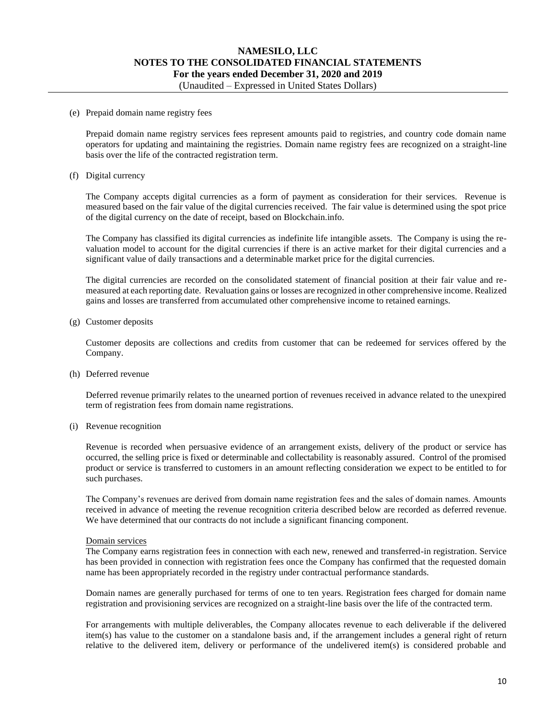## **NAMESILO, LLC NOTES TO THE CONSOLIDATED FINANCIAL STATEMENTS For the years ended December 31, 2020 and 2019** (Unaudited – Expressed in United States Dollars)

#### (e) Prepaid domain name registry fees

Prepaid domain name registry services fees represent amounts paid to registries, and country code domain name operators for updating and maintaining the registries. Domain name registry fees are recognized on a straight-line basis over the life of the contracted registration term.

## (f) Digital currency

The Company accepts digital currencies as a form of payment as consideration for their services. Revenue is measured based on the fair value of the digital currencies received. The fair value is determined using the spot price of the digital currency on the date of receipt, based on Blockchain.info.

The Company has classified its digital currencies as indefinite life intangible assets. The Company is using the revaluation model to account for the digital currencies if there is an active market for their digital currencies and a significant value of daily transactions and a determinable market price for the digital currencies.

The digital currencies are recorded on the consolidated statement of financial position at their fair value and remeasured at each reporting date. Revaluation gains or losses are recognized in other comprehensive income. Realized gains and losses are transferred from accumulated other comprehensive income to retained earnings.

### (g) Customer deposits

Customer deposits are collections and credits from customer that can be redeemed for services offered by the Company.

### (h) Deferred revenue

Deferred revenue primarily relates to the unearned portion of revenues received in advance related to the unexpired term of registration fees from domain name registrations.

### (i) Revenue recognition

Revenue is recorded when persuasive evidence of an arrangement exists, delivery of the product or service has occurred, the selling price is fixed or determinable and collectability is reasonably assured. Control of the promised product or service is transferred to customers in an amount reflecting consideration we expect to be entitled to for such purchases.

The Company's revenues are derived from domain name registration fees and the sales of domain names. Amounts received in advance of meeting the revenue recognition criteria described below are recorded as deferred revenue. We have determined that our contracts do not include a significant financing component.

### Domain services

The Company earns registration fees in connection with each new, renewed and transferred-in registration. Service has been provided in connection with registration fees once the Company has confirmed that the requested domain name has been appropriately recorded in the registry under contractual performance standards.

Domain names are generally purchased for terms of one to ten years. Registration fees charged for domain name registration and provisioning services are recognized on a straight-line basis over the life of the contracted term.

For arrangements with multiple deliverables, the Company allocates revenue to each deliverable if the delivered item(s) has value to the customer on a standalone basis and, if the arrangement includes a general right of return relative to the delivered item, delivery or performance of the undelivered item(s) is considered probable and